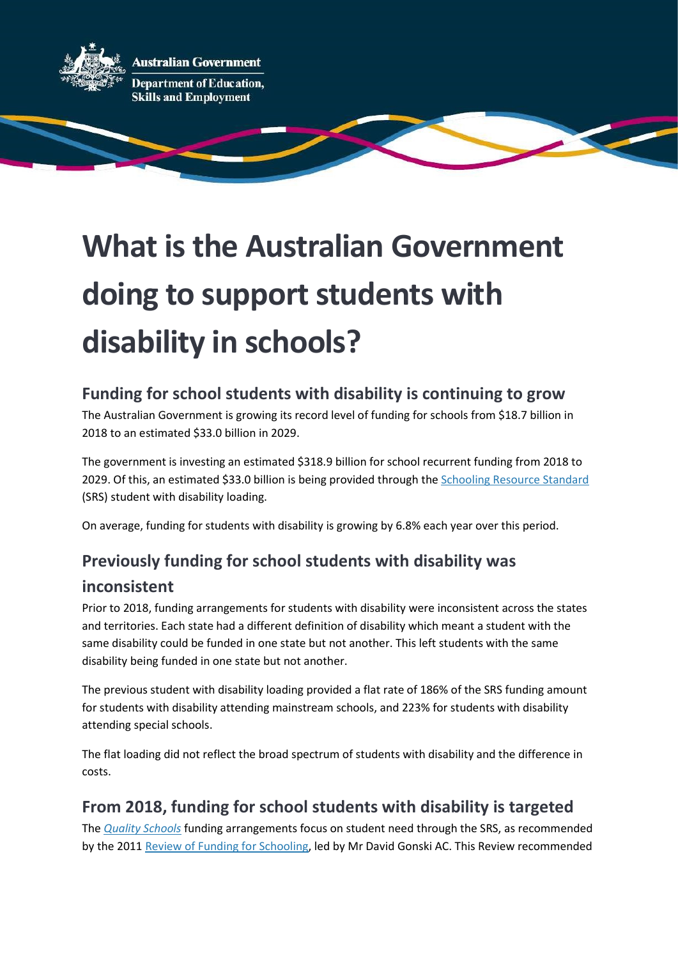

# What is the Australian Government doing to support students with disability in schools?

## Funding for school students with disability is continuing to grow

The Australian Government is growing its record level of funding for schools from \$18.7 billion in 2018 to an estimated \$33.0 billion in 2029.

The government is investing an estimated \$318.9 billion for school recurrent funding from 2018 to 2029. Of this, an estimated \$33.0 billion is being provided through the Schooling Resource Standard (SRS) student with disability loading.

On average, funding for students with disability is growing by 6.8% each year over this period.

## Previously funding for school students with disability was

#### inconsistent

Prior to 2018, funding arrangements for students with disability were inconsistent across the states and territories. Each state had a different definition of disability which meant a student with the same disability could be funded in one state but not another. This left students with the same disability being funded in one state but not another.

The previous student with disability loading provided a flat rate of 186% of the SRS funding amount for students with disability attending mainstream schools, and 223% for students with disability attending special schools.

The flat loading did not reflect the broad spectrum of students with disability and the difference in costs.

## From 2018, funding for school students with disability is targeted

The Quality Schools funding arrangements focus on student need through the SRS, as recommended by the 2011 Review of Funding for Schooling, led by Mr David Gonski AC. This Review recommended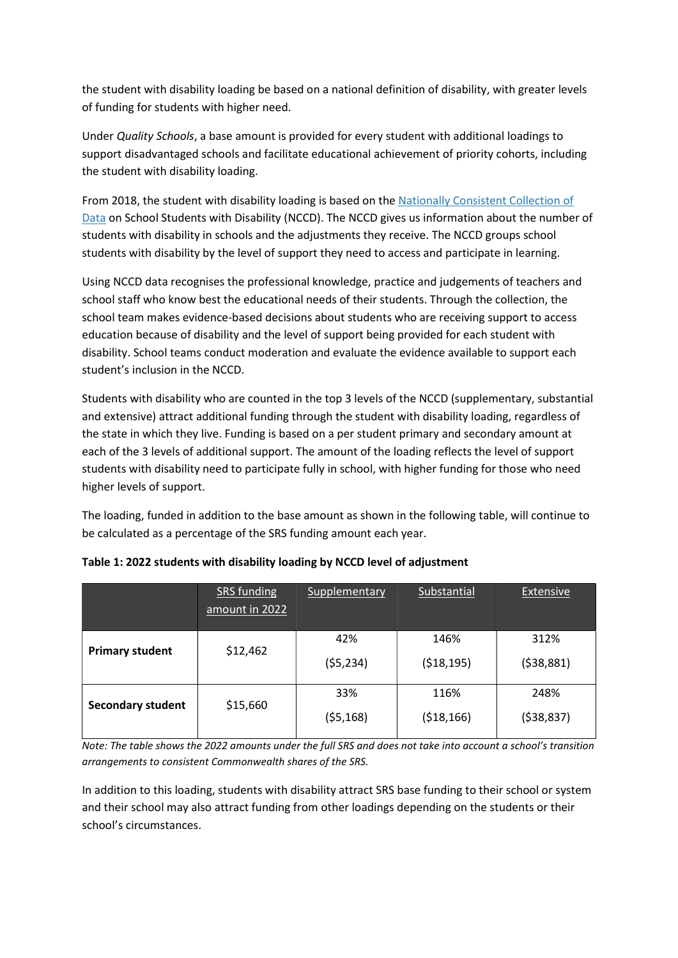the student with disability loading be based on a national definition of disability, with greater levels of funding for students with higher need.

Under Quality Schools, a base amount is provided for every student with additional loadings to support disadvantaged schools and facilitate educational achievement of priority cohorts, including the student with disability loading.

From 2018, the student with disability loading is based on the Nationally Consistent Collection of Data on School Students with Disability (NCCD). The NCCD gives us information about the number of students with disability in schools and the adjustments they receive. The NCCD groups school students with disability by the level of support they need to access and participate in learning.

Using NCCD data recognises the professional knowledge, practice and judgements of teachers and school staff who know best the educational needs of their students. Through the collection, the school team makes evidence-based decisions about students who are receiving support to access education because of disability and the level of support being provided for each student with disability. School teams conduct moderation and evaluate the evidence available to support each student's inclusion in the NCCD.

Students with disability who are counted in the top 3 levels of the NCCD (supplementary, substantial and extensive) attract additional funding through the student with disability loading, regardless of the state in which they live. Funding is based on a per student primary and secondary amount at each of the 3 levels of additional support. The amount of the loading reflects the level of support students with disability need to participate fully in school, with higher funding for those who need higher levels of support.

The loading, funded in addition to the base amount as shown in the following table, will continue to be calculated as a percentage of the SRS funding amount each year.

|                          | SRS funding<br>amount in 2022 | Supplementary    | Substantial          | <b>Extensive</b>   |
|--------------------------|-------------------------------|------------------|----------------------|--------------------|
| <b>Primary student</b>   | \$12,462                      | 42%<br>(55, 234) | 146%<br>(518, 195)   | 312%<br>(538,881)  |
| <b>Secondary student</b> | \$15,660                      | 33%<br>(55, 168) | 116%<br>( \$18, 166) | 248%<br>(538, 837) |

| Table 1: 2022 students with disability loading by NCCD level of adjustment |  |  |
|----------------------------------------------------------------------------|--|--|
|                                                                            |  |  |

Note: The table shows the 2022 amounts under the full SRS and does not take into account a school's transition arrangements to consistent Commonwealth shares of the SRS.

In addition to this loading, students with disability attract SRS base funding to their school or system and their school may also attract funding from other loadings depending on the students or their school's circumstances.